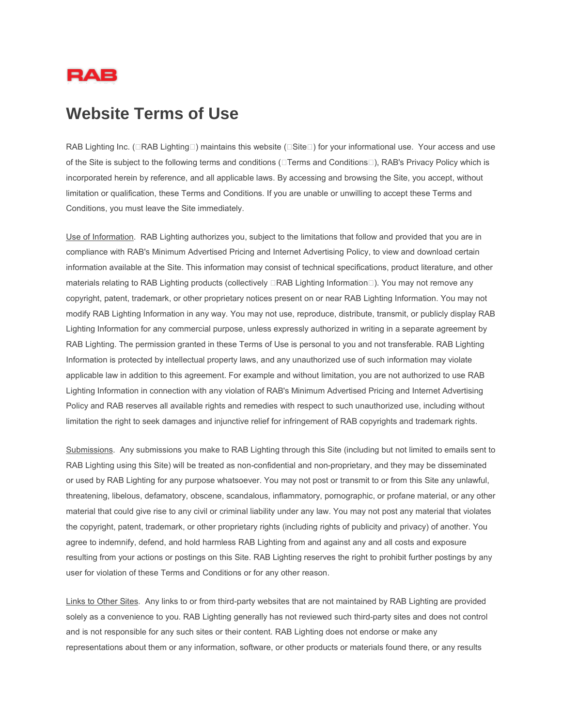

## **Website Terms of Use**

RAB Lighting Inc. ( $\Box$ RAB Lighting $\Box$ ) maintains this website ( $\Box$ Site $\Box$ ) for your informational use. Your access and use of the Site is subject to the following terms and conditions ( $\Box$ Terms and Conditions $\Box$ ), RAB's Privacy Policy which is incorporated herein by reference, and all applicable laws. By accessing and browsing the Site, you accept, without limitation or qualification, these Terms and Conditions. If you are unable or unwilling to accept these Terms and Conditions, you must leave the Site immediately.

Use of Information. RAB Lighting authorizes you, subject to the limitations that follow and provided that you are in compliance with RAB's Minimum Advertised Pricing and Internet Advertising Policy, to view and download certain information available at the Site. This information may consist of technical specifications, product literature, and other materials relating to RAB Lighting products (collectively □RAB Lighting Information□). You may not remove any copyright, patent, trademark, or other proprietary notices present on or near RAB Lighting Information. You may not modify RAB Lighting Information in any way. You may not use, reproduce, distribute, transmit, or publicly display RAB Lighting Information for any commercial purpose, unless expressly authorized in writing in a separate agreement by RAB Lighting. The permission granted in these Terms of Use is personal to you and not transferable. RAB Lighting Information is protected by intellectual property laws, and any unauthorized use of such information may violate applicable law in addition to this agreement. For example and without limitation, you are not authorized to use RAB Lighting Information in connection with any violation of RAB's Minimum Advertised Pricing and Internet Advertising Policy and RAB reserves all available rights and remedies with respect to such unauthorized use, including without limitation the right to seek damages and injunctive relief for infringement of RAB copyrights and trademark rights.

Submissions. Any submissions you make to RAB Lighting through this Site (including but not limited to emails sent to RAB Lighting using this Site) will be treated as non-confidential and non-proprietary, and they may be disseminated or used by RAB Lighting for any purpose whatsoever. You may not post or transmit to or from this Site any unlawful, threatening, libelous, defamatory, obscene, scandalous, inflammatory, pornographic, or profane material, or any other material that could give rise to any civil or criminal liability under any law. You may not post any material that violates the copyright, patent, trademark, or other proprietary rights (including rights of publicity and privacy) of another. You agree to indemnify, defend, and hold harmless RAB Lighting from and against any and all costs and exposure resulting from your actions or postings on this Site. RAB Lighting reserves the right to prohibit further postings by any user for violation of these Terms and Conditions or for any other reason.

Links to Other Sites. Any links to or from third-party websites that are not maintained by RAB Lighting are provided solely as a convenience to you. RAB Lighting generally has not reviewed such third-party sites and does not control and is not responsible for any such sites or their content. RAB Lighting does not endorse or make any representations about them or any information, software, or other products or materials found there, or any results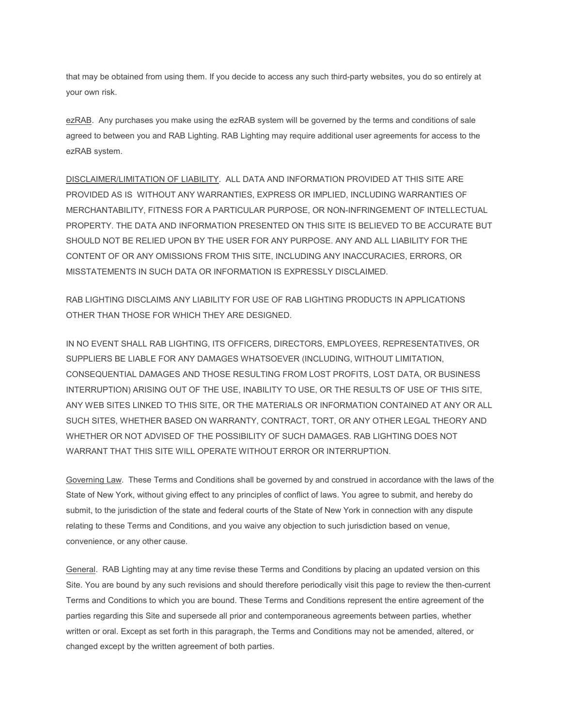that may be obtained from using them. If you decide to access any such third-party websites, you do so entirely at your own risk.

ezRAB. Any purchases you make using the ezRAB system will be governed by the terms and conditions of sale agreed to between you and RAB Lighting. RAB Lighting may require additional user agreements for access to the ezRAB system.

DISCLAIMER/LIMITATION OF LIABILITY. ALL DATA AND INFORMATION PROVIDED AT THIS SITE ARE PROVIDED AS IS WITHOUT ANY WARRANTIES, EXPRESS OR IMPLIED, INCLUDING WARRANTIES OF MERCHANTABILITY, FITNESS FOR A PARTICULAR PURPOSE, OR NON-INFRINGEMENT OF INTELLECTUAL PROPERTY. THE DATA AND INFORMATION PRESENTED ON THIS SITE IS BELIEVED TO BE ACCURATE BUT SHOULD NOT BE RELIED UPON BY THE USER FOR ANY PURPOSE. ANY AND ALL LIABILITY FOR THE CONTENT OF OR ANY OMISSIONS FROM THIS SITE, INCLUDING ANY INACCURACIES, ERRORS, OR MISSTATEMENTS IN SUCH DATA OR INFORMATION IS EXPRESSLY DISCLAIMED.

RAB LIGHTING DISCLAIMS ANY LIABILITY FOR USE OF RAB LIGHTING PRODUCTS IN APPLICATIONS OTHER THAN THOSE FOR WHICH THEY ARE DESIGNED.

IN NO EVENT SHALL RAB LIGHTING, ITS OFFICERS, DIRECTORS, EMPLOYEES, REPRESENTATIVES, OR SUPPLIERS BE LIABLE FOR ANY DAMAGES WHATSOEVER (INCLUDING, WITHOUT LIMITATION, CONSEQUENTIAL DAMAGES AND THOSE RESULTING FROM LOST PROFITS, LOST DATA, OR BUSINESS INTERRUPTION) ARISING OUT OF THE USE, INABILITY TO USE, OR THE RESULTS OF USE OF THIS SITE, ANY WEB SITES LINKED TO THIS SITE, OR THE MATERIALS OR INFORMATION CONTAINED AT ANY OR ALL SUCH SITES, WHETHER BASED ON WARRANTY, CONTRACT, TORT, OR ANY OTHER LEGAL THEORY AND WHETHER OR NOT ADVISED OF THE POSSIBILITY OF SUCH DAMAGES. RAB LIGHTING DOES NOT WARRANT THAT THIS SITE WILL OPERATE WITHOUT ERROR OR INTERRUPTION.

Governing Law. These Terms and Conditions shall be governed by and construed in accordance with the laws of the State of New York, without giving effect to any principles of conflict of laws. You agree to submit, and hereby do submit, to the jurisdiction of the state and federal courts of the State of New York in connection with any dispute relating to these Terms and Conditions, and you waive any objection to such jurisdiction based on venue, convenience, or any other cause.

General. RAB Lighting may at any time revise these Terms and Conditions by placing an updated version on this Site. You are bound by any such revisions and should therefore periodically visit this page to review the then-current Terms and Conditions to which you are bound. These Terms and Conditions represent the entire agreement of the parties regarding this Site and supersede all prior and contemporaneous agreements between parties, whether written or oral. Except as set forth in this paragraph, the Terms and Conditions may not be amended, altered, or changed except by the written agreement of both parties.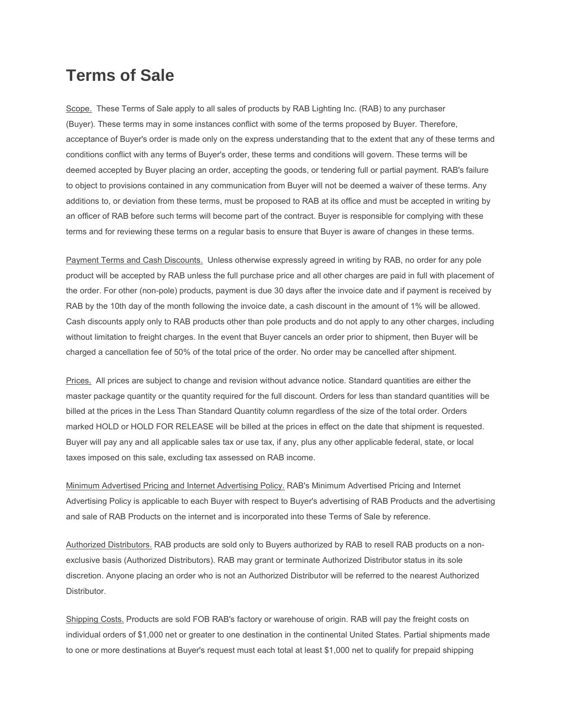## **Terms of Sale**

Scope. These Terms of Sale apply to all sales of products by RAB Lighting Inc. (RAB) to any purchaser (Buyer). These terms may in some instances conflict with some of the terms proposed by Buyer. Therefore, acceptance of Buyer's order is made only on the express understanding that to the extent that any of these terms and conditions conflict with any terms of Buyer's order, these terms and conditions will govern. These terms will be deemed accepted by Buyer placing an order, accepting the goods, or tendering full or partial payment. RAB's failure to object to provisions contained in any communication from Buyer will not be deemed a waiver of these terms. Any additions to, or deviation from these terms, must be proposed to RAB at its office and must be accepted in writing by an officer of RAB before such terms will become part of the contract. Buyer is responsible for complying with these terms and for reviewing these terms on a regular basis to ensure that Buyer is aware of changes in these terms.

Payment Terms and Cash Discounts. Unless otherwise expressly agreed in writing by RAB, no order for any pole product will be accepted by RAB unless the full purchase price and all other charges are paid in full with placement of the order. For other (non-pole) products, payment is due 30 days after the invoice date and if payment is received by RAB by the 10th day of the month following the invoice date, a cash discount in the amount of 1% will be allowed. Cash discounts apply only to RAB products other than pole products and do not apply to any other charges, including without limitation to freight charges. In the event that Buyer cancels an order prior to shipment, then Buyer will be charged a cancellation fee of 50% of the total price of the order. No order may be cancelled after shipment.

Prices. All prices are subject to change and revision without advance notice. Standard quantities are either the master package quantity or the quantity required for the full discount. Orders for less than standard quantities will be billed at the prices in the Less Than Standard Quantity column regardless of the size of the total order. Orders marked HOLD or HOLD FOR RELEASE will be billed at the prices in effect on the date that shipment is requested. Buyer will pay any and all applicable sales tax or use tax, if any, plus any other applicable federal, state, or local taxes imposed on this sale, excluding tax assessed on RAB income.

Minimum Advertised Pricing and Internet Advertising Policy. RAB's Minimum Advertised Pricing and Internet Advertising Policy is applicable to each Buyer with respect to Buyer's advertising of RAB Products and the advertising and sale of RAB Products on the internet and is incorporated into these Terms of Sale by reference.

Authorized Distributors. RAB products are sold only to Buyers authorized by RAB to resell RAB products on a nonexclusive basis (Authorized Distributors). RAB may grant or terminate Authorized Distributor status in its sole discretion. Anyone placing an order who is not an Authorized Distributor will be referred to the nearest Authorized Distributor.

Shipping Costs. Products are sold FOB RAB's factory or warehouse of origin. RAB will pay the freight costs on individual orders of \$1,000 net or greater to one destination in the continental United States. Partial shipments made to one or more destinations at Buyer's request must each total at least \$1,000 net to qualify for prepaid shipping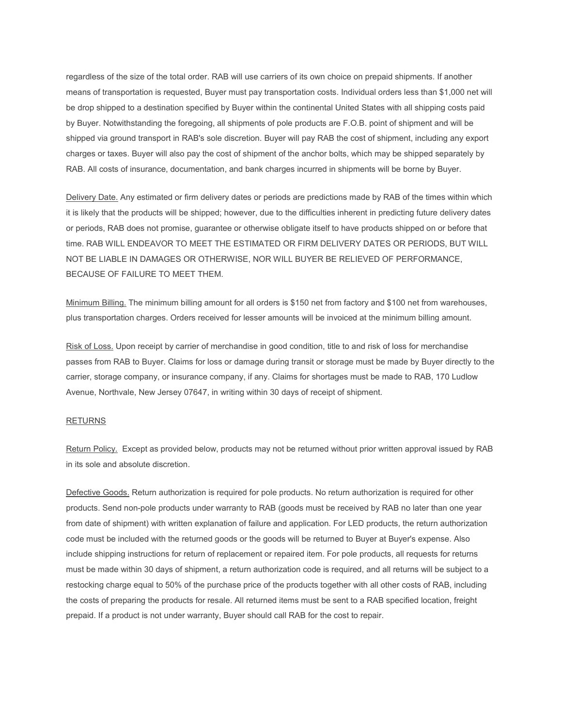regardless of the size of the total order. RAB will use carriers of its own choice on prepaid shipments. If another means of transportation is requested, Buyer must pay transportation costs. Individual orders less than \$1,000 net will be drop shipped to a destination specified by Buyer within the continental United States with all shipping costs paid by Buyer. Notwithstanding the foregoing, all shipments of pole products are F.O.B. point of shipment and will be shipped via ground transport in RAB's sole discretion. Buyer will pay RAB the cost of shipment, including any export charges or taxes. Buyer will also pay the cost of shipment of the anchor bolts, which may be shipped separately by RAB. All costs of insurance, documentation, and bank charges incurred in shipments will be borne by Buyer.

Delivery Date. Any estimated or firm delivery dates or periods are predictions made by RAB of the times within which it is likely that the products will be shipped; however, due to the difficulties inherent in predicting future delivery dates or periods, RAB does not promise, guarantee or otherwise obligate itself to have products shipped on or before that time. RAB WILL ENDEAVOR TO MEET THE ESTIMATED OR FIRM DELIVERY DATES OR PERIODS, BUT WILL NOT BE LIABLE IN DAMAGES OR OTHERWISE, NOR WILL BUYER BE RELIEVED OF PERFORMANCE, BECAUSE OF FAILURE TO MEET THEM.

Minimum Billing. The minimum billing amount for all orders is \$150 net from factory and \$100 net from warehouses, plus transportation charges. Orders received for lesser amounts will be invoiced at the minimum billing amount.

Risk of Loss. Upon receipt by carrier of merchandise in good condition, title to and risk of loss for merchandise passes from RAB to Buyer. Claims for loss or damage during transit or storage must be made by Buyer directly to the carrier, storage company, or insurance company, if any. Claims for shortages must be made to RAB, 170 Ludlow Avenue, Northvale, New Jersey 07647, in writing within 30 days of receipt of shipment.

## RETURNS

Return Policy. Except as provided below, products may not be returned without prior written approval issued by RAB in its sole and absolute discretion.

Defective Goods. Return authorization is required for pole products. No return authorization is required for other products. Send non-pole products under warranty to RAB (goods must be received by RAB no later than one year from date of shipment) with written explanation of failure and application. For LED products, the return authorization code must be included with the returned goods or the goods will be returned to Buyer at Buyer's expense. Also include shipping instructions for return of replacement or repaired item. For pole products, all requests for returns must be made within 30 days of shipment, a return authorization code is required, and all returns will be subject to a restocking charge equal to 50% of the purchase price of the products together with all other costs of RAB, including the costs of preparing the products for resale. All returned items must be sent to a RAB specified location, freight prepaid. If a product is not under warranty, Buyer should call RAB for the cost to repair.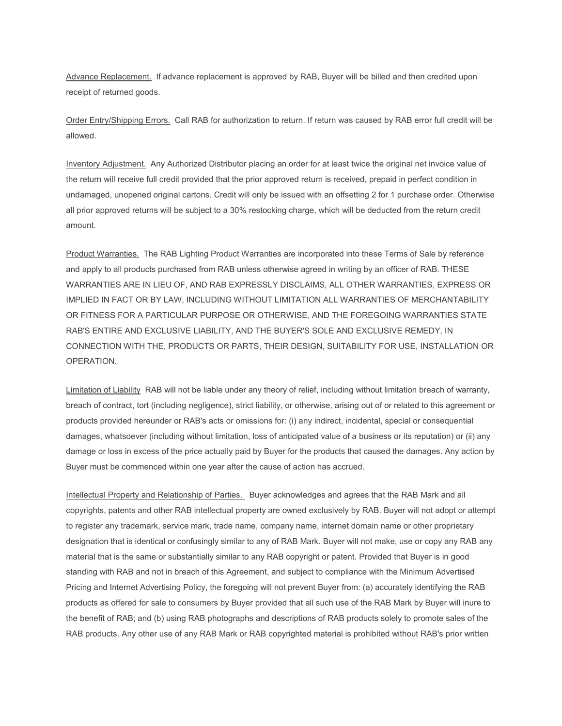Advance Replacement. If advance replacement is approved by RAB, Buyer will be billed and then credited upon receipt of returned goods.

Order Entry/Shipping Errors. Call RAB for authorization to return. If return was caused by RAB error full credit will be allowed.

Inventory Adjustment. Any Authorized Distributor placing an order for at least twice the original net invoice value of the return will receive full credit provided that the prior approved return is received, prepaid in perfect condition in undamaged, unopened original cartons. Credit will only be issued with an offsetting 2 for 1 purchase order. Otherwise all prior approved returns will be subject to a 30% restocking charge, which will be deducted from the return credit amount.

Product Warranties. The RAB Lighting Product Warranties are incorporated into these Terms of Sale by reference and apply to all products purchased from RAB unless otherwise agreed in writing by an officer of RAB. THESE WARRANTIES ARE IN LIEU OF, AND RAB EXPRESSLY DISCLAIMS, ALL OTHER WARRANTIES, EXPRESS OR IMPLIED IN FACT OR BY LAW, INCLUDING WITHOUT LIMITATION ALL WARRANTIES OF MERCHANTABILITY OR FITNESS FOR A PARTICULAR PURPOSE OR OTHERWISE, AND THE FOREGOING WARRANTIES STATE RAB'S ENTIRE AND EXCLUSIVE LIABILITY, AND THE BUYER'S SOLE AND EXCLUSIVE REMEDY, IN CONNECTION WITH THE, PRODUCTS OR PARTS, THEIR DESIGN, SUITABILITY FOR USE, INSTALLATION OR OPERATION.

Limitation of Liability RAB will not be liable under any theory of relief, including without limitation breach of warranty, breach of contract, tort (including negligence), strict liability, or otherwise, arising out of or related to this agreement or products provided hereunder or RAB's acts or omissions for: (i) any indirect, incidental, special or consequential damages, whatsoever (including without limitation, loss of anticipated value of a business or its reputation) or (ii) any damage or loss in excess of the price actually paid by Buyer for the products that caused the damages. Any action by Buyer must be commenced within one year after the cause of action has accrued.

Intellectual Property and Relationship of Parties. Buyer acknowledges and agrees that the RAB Mark and all copyrights, patents and other RAB intellectual property are owned exclusively by RAB. Buyer will not adopt or attempt to register any trademark, service mark, trade name, company name, internet domain name or other proprietary designation that is identical or confusingly similar to any of RAB Mark. Buyer will not make, use or copy any RAB any material that is the same or substantially similar to any RAB copyright or patent. Provided that Buyer is in good standing with RAB and not in breach of this Agreement, and subject to compliance with the Minimum Advertised Pricing and Internet Advertising Policy, the foregoing will not prevent Buyer from: (a) accurately identifying the RAB products as offered for sale to consumers by Buyer provided that all such use of the RAB Mark by Buyer will inure to the benefit of RAB; and (b) using RAB photographs and descriptions of RAB products solely to promote sales of the RAB products. Any other use of any RAB Mark or RAB copyrighted material is prohibited without RAB's prior written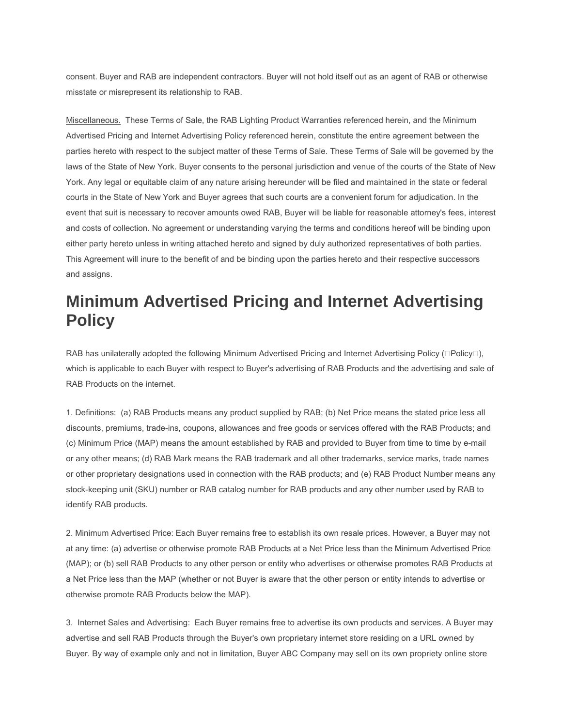consent. Buyer and RAB are independent contractors. Buyer will not hold itself out as an agent of RAB or otherwise misstate or misrepresent its relationship to RAB.

Miscellaneous. These Terms of Sale, the RAB Lighting Product Warranties referenced herein, and the Minimum Advertised Pricing and Internet Advertising Policy referenced herein, constitute the entire agreement between the parties hereto with respect to the subject matter of these Terms of Sale. These Terms of Sale will be governed by the laws of the State of New York. Buyer consents to the personal jurisdiction and venue of the courts of the State of New York. Any legal or equitable claim of any nature arising hereunder will be filed and maintained in the state or federal courts in the State of New York and Buyer agrees that such courts are a convenient forum for adjudication. In the event that suit is necessary to recover amounts owed RAB, Buyer will be liable for reasonable attorney's fees, interest and costs of collection. No agreement or understanding varying the terms and conditions hereof will be binding upon either party hereto unless in writing attached hereto and signed by duly authorized representatives of both parties. This Agreement will inure to the benefit of and be binding upon the parties hereto and their respective successors and assigns.

## **Minimum Advertised Pricing and Internet Advertising Policy**

RAB has unilaterally adopted the following Minimum Advertised Pricing and Internet Advertising Policy  $( \Box$ Policy $\Box$ ), which is applicable to each Buyer with respect to Buyer's advertising of RAB Products and the advertising and sale of RAB Products on the internet.

1. Definitions: (a) RAB Products means any product supplied by RAB; (b) Net Price means the stated price less all discounts, premiums, trade-ins, coupons, allowances and free goods or services offered with the RAB Products; and (c) Minimum Price (MAP) means the amount established by RAB and provided to Buyer from time to time by e-mail or any other means; (d) RAB Mark means the RAB trademark and all other trademarks, service marks, trade names or other proprietary designations used in connection with the RAB products; and (e) RAB Product Number means any stock-keeping unit (SKU) number or RAB catalog number for RAB products and any other number used by RAB to identify RAB products.

2. Minimum Advertised Price: Each Buyer remains free to establish its own resale prices. However, a Buyer may not at any time: (a) advertise or otherwise promote RAB Products at a Net Price less than the Minimum Advertised Price (MAP); or (b) sell RAB Products to any other person or entity who advertises or otherwise promotes RAB Products at a Net Price less than the MAP (whether or not Buyer is aware that the other person or entity intends to advertise or otherwise promote RAB Products below the MAP).

3. Internet Sales and Advertising: Each Buyer remains free to advertise its own products and services. A Buyer may advertise and sell RAB Products through the Buyer's own proprietary internet store residing on a URL owned by Buyer. By way of example only and not in limitation, Buyer ABC Company may sell on its own propriety online store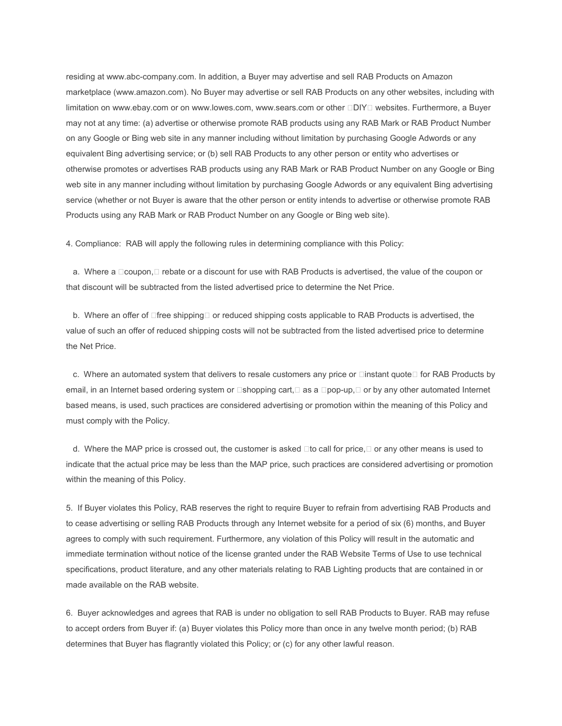residing at www.abc-company.com. In addition, a Buyer may advertise and sell RAB Products on Amazon marketplace (www.amazon.com). No Buyer may advertise or sell RAB Products on any other websites, including with limitation on www.ebay.com or on www.lowes.com, www.sears.com or other **DIY websites.** Furthermore, a Buyer may not at any time: (a) advertise or otherwise promote RAB products using any RAB Mark or RAB Product Number on any Google or Bing web site in any manner including without limitation by purchasing Google Adwords or any equivalent Bing advertising service; or (b) sell RAB Products to any other person or entity who advertises or otherwise promotes or advertises RAB products using any RAB Mark or RAB Product Number on any Google or Bing web site in any manner including without limitation by purchasing Google Adwords or any equivalent Bing advertising service (whether or not Buyer is aware that the other person or entity intends to advertise or otherwise promote RAB Products using any RAB Mark or RAB Product Number on any Google or Bing web site).

4. Compliance: RAB will apply the following rules in determining compliance with this Policy:

a. Where a  $\Box$ coupon,  $\Box$  rebate or a discount for use with RAB Products is advertised, the value of the coupon or that discount will be subtracted from the listed advertised price to determine the Net Price.

b. Where an offer of  $\Box$  free shipping  $\Box$  or reduced shipping costs applicable to RAB Products is advertised, the value of such an offer of reduced shipping costs will not be subtracted from the listed advertised price to determine the Net Price.

c. Where an automated system that delivers to resale customers any price or  $\Box$ instant quote  $\Box$  for RAB Products by email, in an Internet based ordering system or  $\Box$ shopping cart, $\Box$  as a  $\Box$ pop-up, $\Box$  or by any other automated Internet based means, is used, such practices are considered advertising or promotion within the meaning of this Policy and must comply with the Policy.

d. Where the MAP price is crossed out, the customer is asked  $\Box$  to call for price,  $\Box$  or any other means is used to indicate that the actual price may be less than the MAP price, such practices are considered advertising or promotion within the meaning of this Policy.

5. If Buyer violates this Policy, RAB reserves the right to require Buyer to refrain from advertising RAB Products and to cease advertising or selling RAB Products through any Internet website for a period of six (6) months, and Buyer agrees to comply with such requirement. Furthermore, any violation of this Policy will result in the automatic and immediate termination without notice of the license granted under the RAB Website Terms of Use to use technical specifications, product literature, and any other materials relating to RAB Lighting products that are contained in or made available on the RAB website.

6. Buyer acknowledges and agrees that RAB is under no obligation to sell RAB Products to Buyer. RAB may refuse to accept orders from Buyer if: (a) Buyer violates this Policy more than once in any twelve month period; (b) RAB determines that Buyer has flagrantly violated this Policy; or (c) for any other lawful reason.